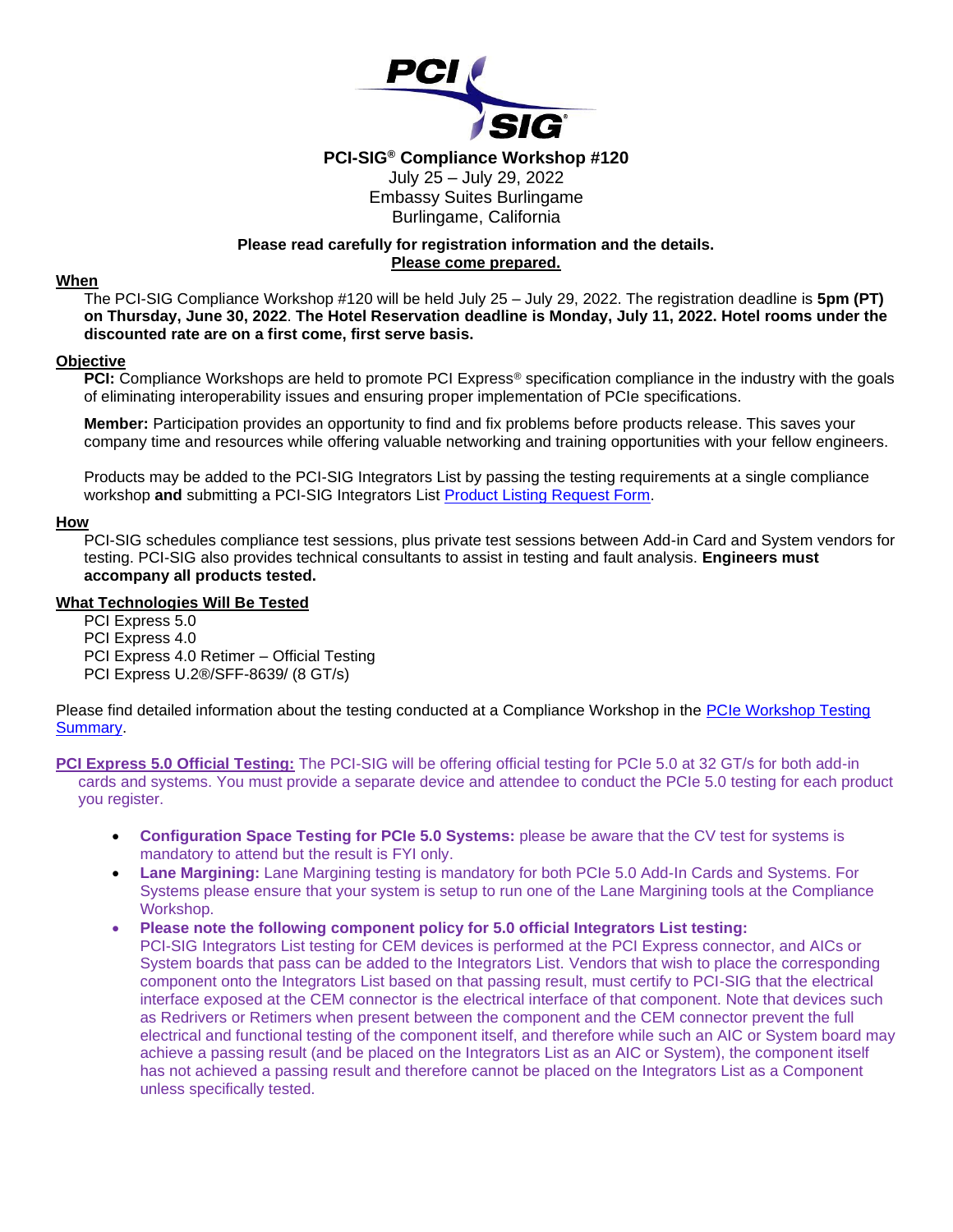

# **PCI-SIG® Compliance Workshop #120**

### July 25 – July 29, 2022 Embassy Suites Burlingame Burlingame, California

# **Please read carefully for registration information and the details. Please come prepared.**

### **When**

The PCI-SIG Compliance Workshop #120 will be held July 25 – July 29, 2022. The registration deadline is **5pm (PT) on Thursday, June 30, 2022**. **The Hotel Reservation deadline is Monday, July 11, 2022. Hotel rooms under the discounted rate are on a first come, first serve basis.** 

### **Objective**

**PCI:** Compliance Workshops are held to promote PCI Express<sup>®</sup> specification compliance in the industry with the goals of eliminating interoperability issues and ensuring proper implementation of PCIe specifications.

**Member:** Participation provides an opportunity to find and fix problems before products release. This saves your company time and resources while offering valuable networking and training opportunities with your fellow engineers.

Products may be added to the PCI-SIG Integrators List by passing the testing requirements at a single compliance workshop **and** submitting a PCI-SIG Integrators List [Product Listing Request Form.](http://pcisig.com/node/add/integrator-list-item)

### **How**

PCI-SIG schedules compliance test sessions, plus private test sessions between Add-in Card and System vendors for testing. PCI-SIG also provides technical consultants to assist in testing and fault analysis. **Engineers must accompany all products tested.**

#### **What Technologies Will Be Tested**

PCI Express 5.0

PCI Express 4.0

PCI Express 4.0 Retimer – Official Testing

PCI Express U.2®/SFF-8639/ (8 GT/s)

Please find detailed information about the testing conducted at a Compliance Workshop in the PCIe Workshop Testing [Summary.](https://members.pcisig.com/wg/PCI-SIG/document/8452)

**PCI Express 5.0 Official Testing:** The PCI-SIG will be offering official testing for PCIe 5.0 at 32 GT/s for both add-in cards and systems. You must provide a separate device and attendee to conduct the PCIe 5.0 testing for each product you register.

- **Configuration Space Testing for PCIe 5.0 Systems:** please be aware that the CV test for systems is mandatory to attend but the result is FYI only.
- **Lane Margining:** Lane Margining testing is mandatory for both PCIe 5.0 Add-In Cards and Systems. For Systems please ensure that your system is setup to run one of the Lane Margining tools at the Compliance Workshop.
- **Please note the following component policy for 5.0 official Integrators List testing:**

PCI-SIG Integrators List testing for CEM devices is performed at the PCI Express connector, and AICs or System boards that pass can be added to the Integrators List. Vendors that wish to place the corresponding component onto the Integrators List based on that passing result, must certify to PCI-SIG that the electrical interface exposed at the CEM connector is the electrical interface of that component. Note that devices such as Redrivers or Retimers when present between the component and the CEM connector prevent the full electrical and functional testing of the component itself, and therefore while such an AIC or System board may achieve a passing result (and be placed on the Integrators List as an AIC or System), the component itself has not achieved a passing result and therefore cannot be placed on the Integrators List as a Component unless specifically tested.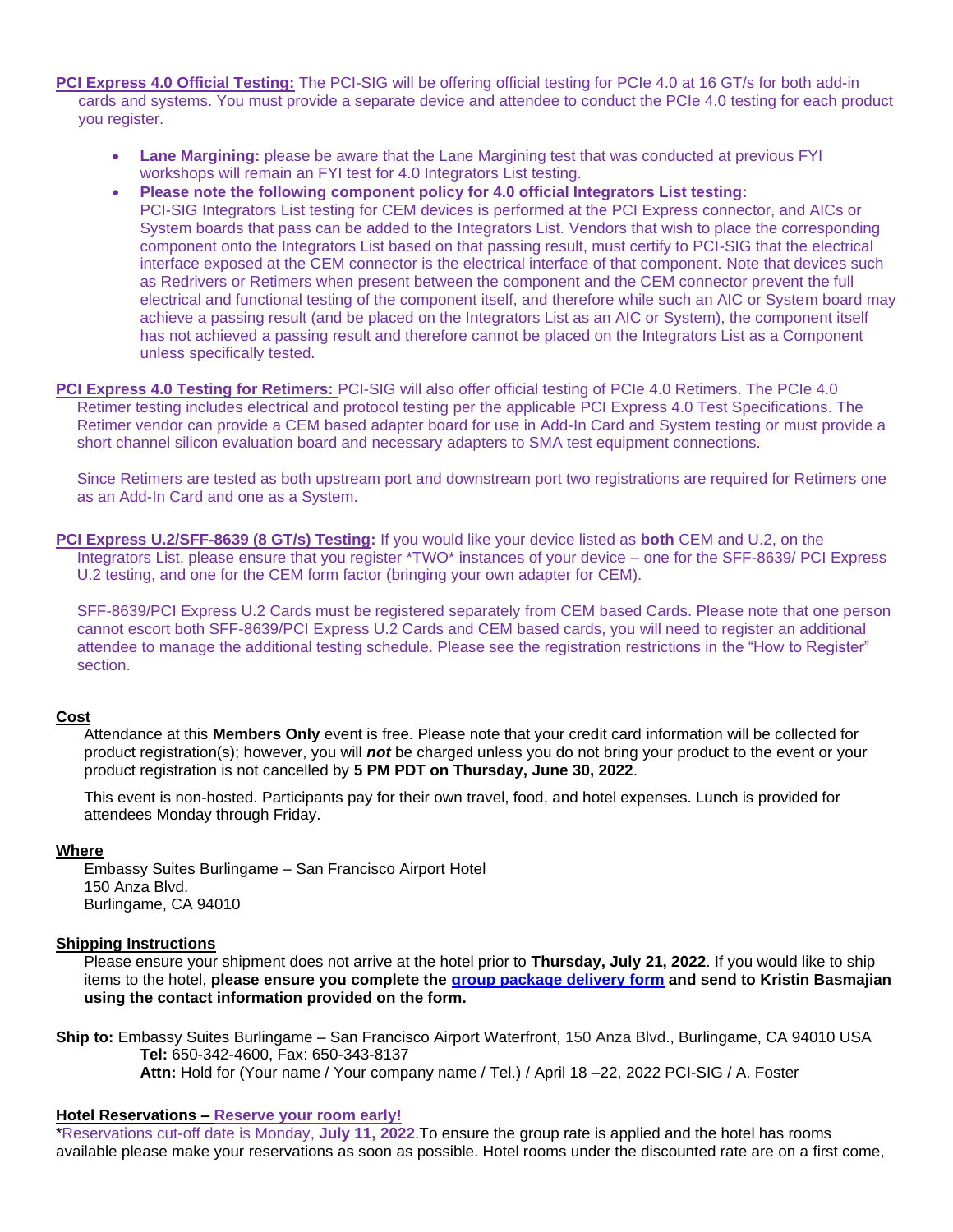**PCI Express 4.0 Official Testing:** The PCI-SIG will be offering official testing for PCIe 4.0 at 16 GT/s for both add-in cards and systems. You must provide a separate device and attendee to conduct the PCIe 4.0 testing for each product you register.

- **Lane Margining:** please be aware that the Lane Margining test that was conducted at previous FYI workshops will remain an FYI test for 4.0 Integrators List testing.
- **Please note the following component policy for 4.0 official Integrators List testing:**  PCI-SIG Integrators List testing for CEM devices is performed at the PCI Express connector, and AICs or System boards that pass can be added to the Integrators List. Vendors that wish to place the corresponding component onto the Integrators List based on that passing result, must certify to PCI-SIG that the electrical interface exposed at the CEM connector is the electrical interface of that component. Note that devices such as Redrivers or Retimers when present between the component and the CEM connector prevent the full electrical and functional testing of the component itself, and therefore while such an AIC or System board may achieve a passing result (and be placed on the Integrators List as an AIC or System), the component itself has not achieved a passing result and therefore cannot be placed on the Integrators List as a Component unless specifically tested.
- **PCI Express 4.0 Testing for Retimers:** PCI-SIG will also offer official testing of PCIe 4.0 Retimers. The PCIe 4.0 Retimer testing includes electrical and protocol testing per the applicable PCI Express 4.0 Test Specifications. The Retimer vendor can provide a CEM based adapter board for use in Add-In Card and System testing or must provide a short channel silicon evaluation board and necessary adapters to SMA test equipment connections.

Since Retimers are tested as both upstream port and downstream port two registrations are required for Retimers one as an Add-In Card and one as a System.

**PCI Express U.2/SFF-8639 (8 GT/s) Testing:** If you would like your device listed as **both** CEM and U.2, on the Integrators List, please ensure that you register \*TWO\* instances of your device – one for the SFF-8639/ PCI Express U.2 testing, and one for the CEM form factor (bringing your own adapter for CEM).

SFF-8639/PCI Express U.2 Cards must be registered separately from CEM based Cards. Please note that one person cannot escort both SFF-8639/PCI Express U.2 Cards and CEM based cards, you will need to register an additional attendee to manage the additional testing schedule. Please see the registration restrictions in the "How to Register" section.

### **Cost**

Attendance at this **Members Only** event is free. Please note that your credit card information will be collected for product registration(s); however, you will *not* be charged unless you do not bring your product to the event or your product registration is not cancelled by **5 PM PDT on Thursday, June 30, 2022**.

This event is non-hosted. Participants pay for their own travel, food, and hotel expenses. Lunch is provided for attendees Monday through Friday.

### **Where**

Embassy Suites Burlingame – San Francisco Airport Hotel 150 Anza Blvd. Burlingame, CA 94010

### **Shipping Instructions**

Please ensure your shipment does not arrive at the hotel prior to **Thursday, July 21, 2022**. If you would like to ship items to the hotel, **please ensure you complete the [group package delivery form](https://pcisig.com/sites/default/files/files/Group%20Package%20Delivery%20Form%20July%20-%20PCI%20SIG_0.pdf) and send to Kristin Basmajian using the contact information provided on the form.**

**Ship to:** Embassy Suites Burlingame – San Francisco Airport Waterfront, 150 Anza Blvd., Burlingame, CA 94010 USA **Tel:** 650-342-4600, Fax: 650-343-8137 **Attn:** Hold for (Your name / Your company name / Tel.) / April 18 –22, 2022 PCI-SIG / A. Foster

### **Hotel Reservations – Reserve your room early!**

\*Reservations cut-off date is Monday, **July 11, 2022**.To ensure the group rate is applied and the hotel has rooms available please make your reservations as soon as possible. Hotel rooms under the discounted rate are on a first come,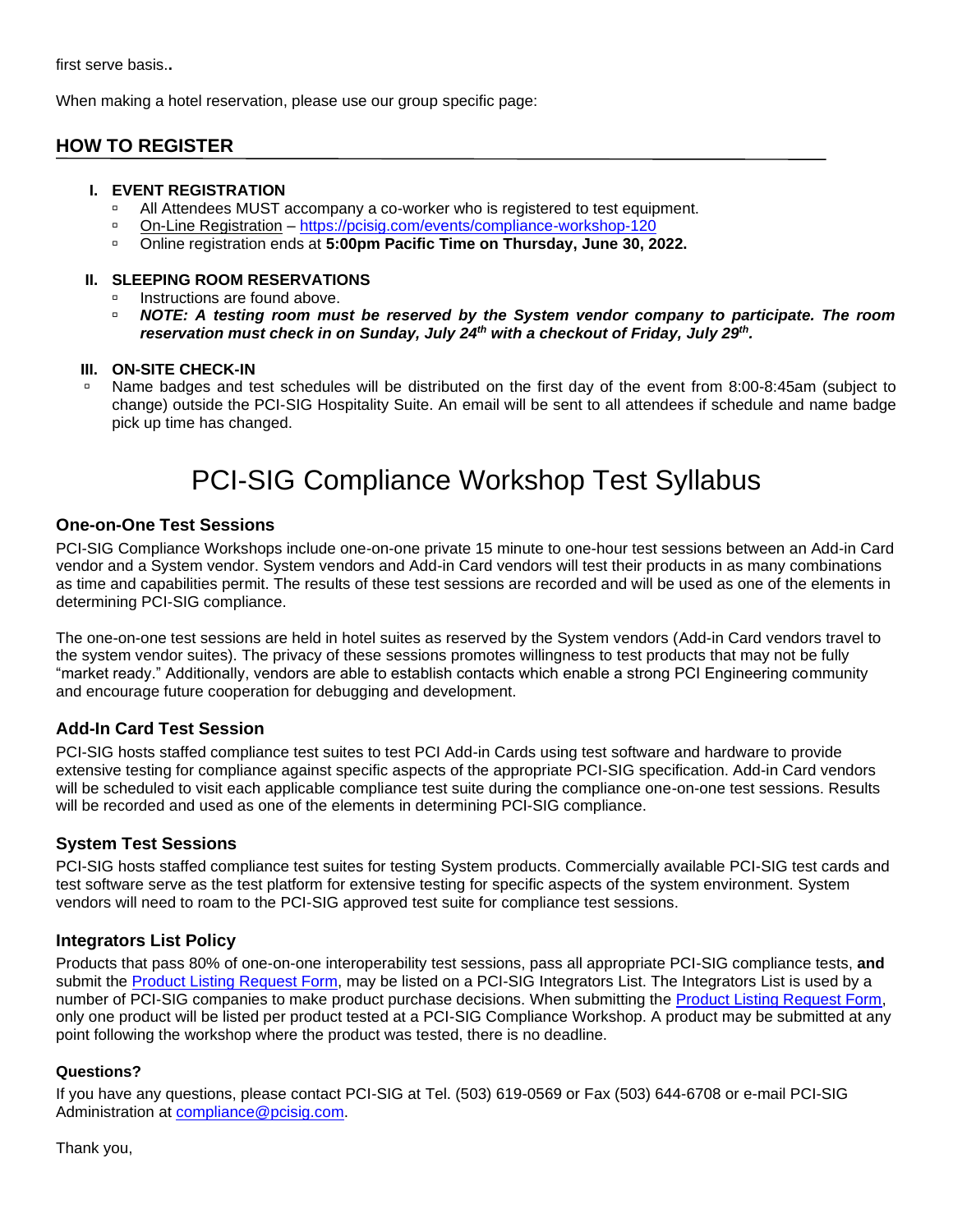When making a hotel reservation, please use our group specific page:

# **HOW TO REGISTER**

### **I. EVENT REGISTRATION**

- □ All Attendees MUST accompany a co-worker who is registered to test equipment.
- On-Line Registration <https://pcisig.com/events/compliance-workshop-120>
- Online registration ends at **5:00pm Pacific Time on Thursday, June 30, 2022.**

### **II. SLEEPING ROOM RESERVATIONS**

- Instructions are found above.
- **NOTE: A testing room must be reserved by the System vendor company to participate. The room** *reservation must check in on Sunday, July 24th with a checkout of Friday, July 29th .*

### **III. ON-SITE CHECK-IN**

 Name badges and test schedules will be distributed on the first day of the event from 8:00-8:45am (subject to change) outside the PCI-SIG Hospitality Suite. An email will be sent to all attendees if schedule and name badge pick up time has changed.

# PCI-SIG Compliance Workshop Test Syllabus

### **One-on-One Test Sessions**

PCI-SIG Compliance Workshops include one-on-one private 15 minute to one-hour test sessions between an Add-in Card vendor and a System vendor. System vendors and Add-in Card vendors will test their products in as many combinations as time and capabilities permit. The results of these test sessions are recorded and will be used as one of the elements in determining PCI-SIG compliance.

The one-on-one test sessions are held in hotel suites as reserved by the System vendors (Add-in Card vendors travel to the system vendor suites). The privacy of these sessions promotes willingness to test products that may not be fully "market ready." Additionally, vendors are able to establish contacts which enable a strong PCI Engineering community and encourage future cooperation for debugging and development.

# **Add-In Card Test Session**

PCI-SIG hosts staffed compliance test suites to test PCI Add-in Cards using test software and hardware to provide extensive testing for compliance against specific aspects of the appropriate PCI-SIG specification. Add-in Card vendors will be scheduled to visit each applicable compliance test suite during the compliance one-on-one test sessions. Results will be recorded and used as one of the elements in determining PCI-SIG compliance.

# **System Test Sessions**

PCI-SIG hosts staffed compliance test suites for testing System products. Commercially available PCI-SIG test cards and test software serve as the test platform for extensive testing for specific aspects of the system environment. System vendors will need to roam to the PCI-SIG approved test suite for compliance test sessions.

# **Integrators List Policy**

Products that pass 80% of one-on-one interoperability test sessions, pass all appropriate PCI-SIG compliance tests, **and** submit the [Product Listing Request Form,](https://pcisig.com/user/login?destination=node/add/integrator-list-item) may be listed on a PCI-SIG Integrators List. The Integrators List is used by a number of PCI-SIG companies to make product purchase decisions. When submitting the [Product Listing Request Form,](https://pcisig.com/user/login?destination=node/add/integrator-list-item) only one product will be listed per product tested at a PCI-SIG Compliance Workshop. A product may be submitted at any point following the workshop where the product was tested, there is no deadline.

### **Questions?**

If you have any questions, please contact PCI-SIG at Tel. (503) 619-0569 or Fax (503) 644-6708 or e-mail PCI-SIG Administration at [compliance@pcisig.com.](mailto:compliance@pcisig.com)

Thank you,